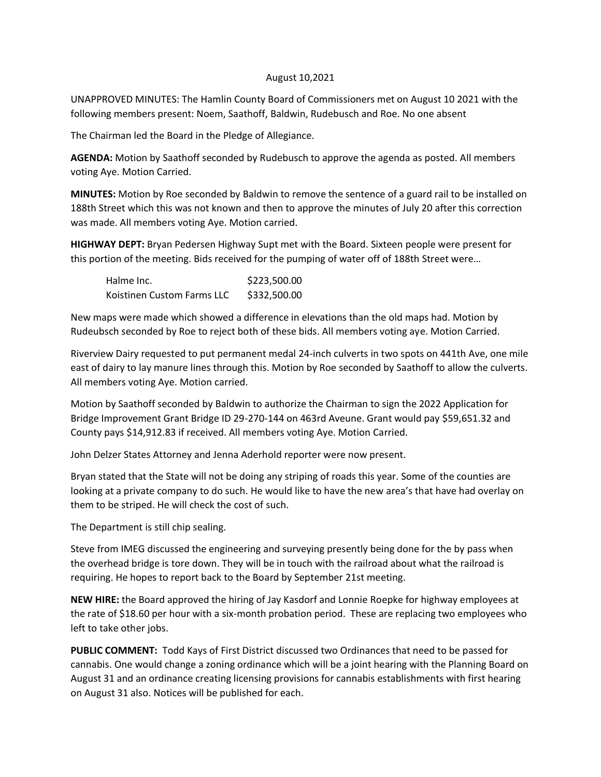## August 10,2021

UNAPPROVED MINUTES: The Hamlin County Board of Commissioners met on August 10 2021 with the following members present: Noem, Saathoff, Baldwin, Rudebusch and Roe. No one absent

The Chairman led the Board in the Pledge of Allegiance.

**AGENDA:** Motion by Saathoff seconded by Rudebusch to approve the agenda as posted. All members voting Aye. Motion Carried.

**MINUTES:** Motion by Roe seconded by Baldwin to remove the sentence of a guard rail to be installed on 188th Street which this was not known and then to approve the minutes of July 20 after this correction was made. All members voting Aye. Motion carried.

**HIGHWAY DEPT:** Bryan Pedersen Highway Supt met with the Board. Sixteen people were present for this portion of the meeting. Bids received for the pumping of water off of 188th Street were…

| Halme Inc.                 | \$223,500.00 |
|----------------------------|--------------|
| Koistinen Custom Farms LLC | \$332,500.00 |

New maps were made which showed a difference in elevations than the old maps had. Motion by Rudeubsch seconded by Roe to reject both of these bids. All members voting aye. Motion Carried.

Riverview Dairy requested to put permanent medal 24-inch culverts in two spots on 441th Ave, one mile east of dairy to lay manure lines through this. Motion by Roe seconded by Saathoff to allow the culverts. All members voting Aye. Motion carried.

Motion by Saathoff seconded by Baldwin to authorize the Chairman to sign the 2022 Application for Bridge Improvement Grant Bridge ID 29-270-144 on 463rd Aveune. Grant would pay \$59,651.32 and County pays \$14,912.83 if received. All members voting Aye. Motion Carried.

John Delzer States Attorney and Jenna Aderhold reporter were now present.

Bryan stated that the State will not be doing any striping of roads this year. Some of the counties are looking at a private company to do such. He would like to have the new area's that have had overlay on them to be striped. He will check the cost of such.

The Department is still chip sealing.

Steve from IMEG discussed the engineering and surveying presently being done for the by pass when the overhead bridge is tore down. They will be in touch with the railroad about what the railroad is requiring. He hopes to report back to the Board by September 21st meeting.

**NEW HIRE:** the Board approved the hiring of Jay Kasdorf and Lonnie Roepke for highway employees at the rate of \$18.60 per hour with a six-month probation period. These are replacing two employees who left to take other jobs.

**PUBLIC COMMENT:** Todd Kays of First District discussed two Ordinances that need to be passed for cannabis. One would change a zoning ordinance which will be a joint hearing with the Planning Board on August 31 and an ordinance creating licensing provisions for cannabis establishments with first hearing on August 31 also. Notices will be published for each.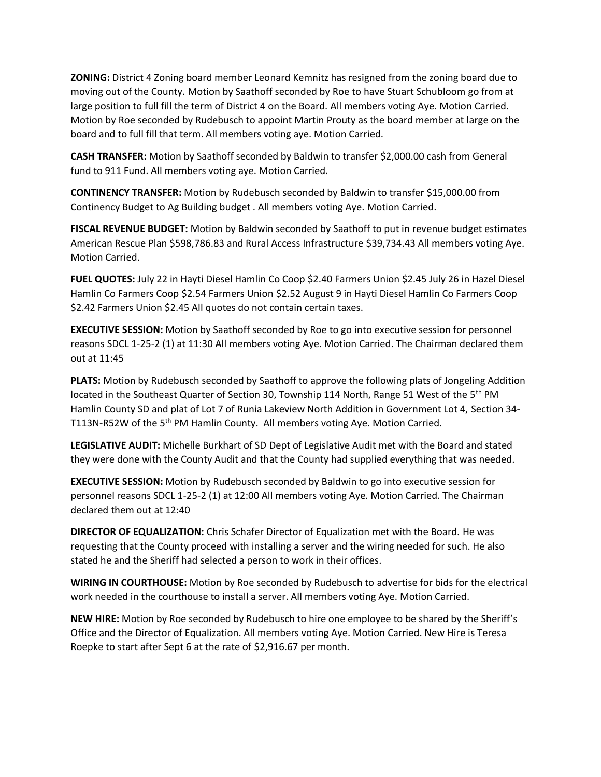**ZONING:** District 4 Zoning board member Leonard Kemnitz has resigned from the zoning board due to moving out of the County. Motion by Saathoff seconded by Roe to have Stuart Schubloom go from at large position to full fill the term of District 4 on the Board. All members voting Aye. Motion Carried. Motion by Roe seconded by Rudebusch to appoint Martin Prouty as the board member at large on the board and to full fill that term. All members voting aye. Motion Carried.

**CASH TRANSFER:** Motion by Saathoff seconded by Baldwin to transfer \$2,000.00 cash from General fund to 911 Fund. All members voting aye. Motion Carried.

**CONTINENCY TRANSFER:** Motion by Rudebusch seconded by Baldwin to transfer \$15,000.00 from Continency Budget to Ag Building budget . All members voting Aye. Motion Carried.

**FISCAL REVENUE BUDGET:** Motion by Baldwin seconded by Saathoff to put in revenue budget estimates American Rescue Plan \$598,786.83 and Rural Access Infrastructure \$39,734.43 All members voting Aye. Motion Carried.

**FUEL QUOTES:** July 22 in Hayti Diesel Hamlin Co Coop \$2.40 Farmers Union \$2.45 July 26 in Hazel Diesel Hamlin Co Farmers Coop \$2.54 Farmers Union \$2.52 August 9 in Hayti Diesel Hamlin Co Farmers Coop \$2.42 Farmers Union \$2.45 All quotes do not contain certain taxes.

**EXECUTIVE SESSION:** Motion by Saathoff seconded by Roe to go into executive session for personnel reasons SDCL 1-25-2 (1) at 11:30 All members voting Aye. Motion Carried. The Chairman declared them out at 11:45

**PLATS:** Motion by Rudebusch seconded by Saathoff to approve the following plats of Jongeling Addition located in the Southeast Quarter of Section 30, Township 114 North, Range 51 West of the 5<sup>th</sup> PM Hamlin County SD and plat of Lot 7 of Runia Lakeview North Addition in Government Lot 4, Section 34- T113N-R52W of the 5<sup>th</sup> PM Hamlin County. All members voting Aye. Motion Carried.

**LEGISLATIVE AUDIT:** Michelle Burkhart of SD Dept of Legislative Audit met with the Board and stated they were done with the County Audit and that the County had supplied everything that was needed.

**EXECUTIVE SESSION:** Motion by Rudebusch seconded by Baldwin to go into executive session for personnel reasons SDCL 1-25-2 (1) at 12:00 All members voting Aye. Motion Carried. The Chairman declared them out at 12:40

**DIRECTOR OF EQUALIZATION:** Chris Schafer Director of Equalization met with the Board. He was requesting that the County proceed with installing a server and the wiring needed for such. He also stated he and the Sheriff had selected a person to work in their offices.

**WIRING IN COURTHOUSE:** Motion by Roe seconded by Rudebusch to advertise for bids for the electrical work needed in the courthouse to install a server. All members voting Aye. Motion Carried.

**NEW HIRE:** Motion by Roe seconded by Rudebusch to hire one employee to be shared by the Sheriff's Office and the Director of Equalization. All members voting Aye. Motion Carried. New Hire is Teresa Roepke to start after Sept 6 at the rate of \$2,916.67 per month.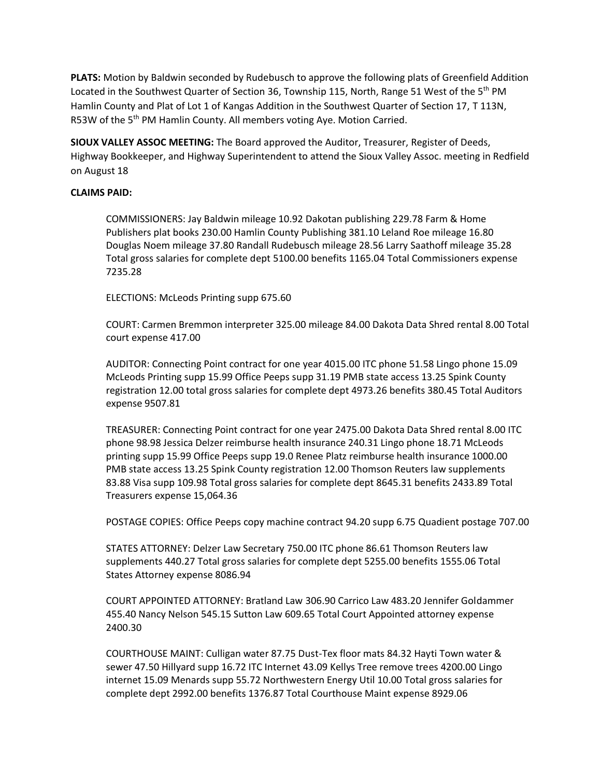**PLATS:** Motion by Baldwin seconded by Rudebusch to approve the following plats of Greenfield Addition Located in the Southwest Quarter of Section 36, Township 115, North, Range 51 West of the 5<sup>th</sup> PM Hamlin County and Plat of Lot 1 of Kangas Addition in the Southwest Quarter of Section 17, T 113N, R53W of the 5<sup>th</sup> PM Hamlin County. All members voting Aye. Motion Carried.

**SIOUX VALLEY ASSOC MEETING:** The Board approved the Auditor, Treasurer, Register of Deeds, Highway Bookkeeper, and Highway Superintendent to attend the Sioux Valley Assoc. meeting in Redfield on August 18

## **CLAIMS PAID:**

COMMISSIONERS: Jay Baldwin mileage 10.92 Dakotan publishing 229.78 Farm & Home Publishers plat books 230.00 Hamlin County Publishing 381.10 Leland Roe mileage 16.80 Douglas Noem mileage 37.80 Randall Rudebusch mileage 28.56 Larry Saathoff mileage 35.28 Total gross salaries for complete dept 5100.00 benefits 1165.04 Total Commissioners expense 7235.28

ELECTIONS: McLeods Printing supp 675.60

COURT: Carmen Bremmon interpreter 325.00 mileage 84.00 Dakota Data Shred rental 8.00 Total court expense 417.00

AUDITOR: Connecting Point contract for one year 4015.00 ITC phone 51.58 Lingo phone 15.09 McLeods Printing supp 15.99 Office Peeps supp 31.19 PMB state access 13.25 Spink County registration 12.00 total gross salaries for complete dept 4973.26 benefits 380.45 Total Auditors expense 9507.81

TREASURER: Connecting Point contract for one year 2475.00 Dakota Data Shred rental 8.00 ITC phone 98.98 Jessica Delzer reimburse health insurance 240.31 Lingo phone 18.71 McLeods printing supp 15.99 Office Peeps supp 19.0 Renee Platz reimburse health insurance 1000.00 PMB state access 13.25 Spink County registration 12.00 Thomson Reuters law supplements 83.88 Visa supp 109.98 Total gross salaries for complete dept 8645.31 benefits 2433.89 Total Treasurers expense 15,064.36

POSTAGE COPIES: Office Peeps copy machine contract 94.20 supp 6.75 Quadient postage 707.00

STATES ATTORNEY: Delzer Law Secretary 750.00 ITC phone 86.61 Thomson Reuters law supplements 440.27 Total gross salaries for complete dept 5255.00 benefits 1555.06 Total States Attorney expense 8086.94

COURT APPOINTED ATTORNEY: Bratland Law 306.90 Carrico Law 483.20 Jennifer Goldammer 455.40 Nancy Nelson 545.15 Sutton Law 609.65 Total Court Appointed attorney expense 2400.30

COURTHOUSE MAINT: Culligan water 87.75 Dust-Tex floor mats 84.32 Hayti Town water & sewer 47.50 Hillyard supp 16.72 ITC Internet 43.09 Kellys Tree remove trees 4200.00 Lingo internet 15.09 Menards supp 55.72 Northwestern Energy Util 10.00 Total gross salaries for complete dept 2992.00 benefits 1376.87 Total Courthouse Maint expense 8929.06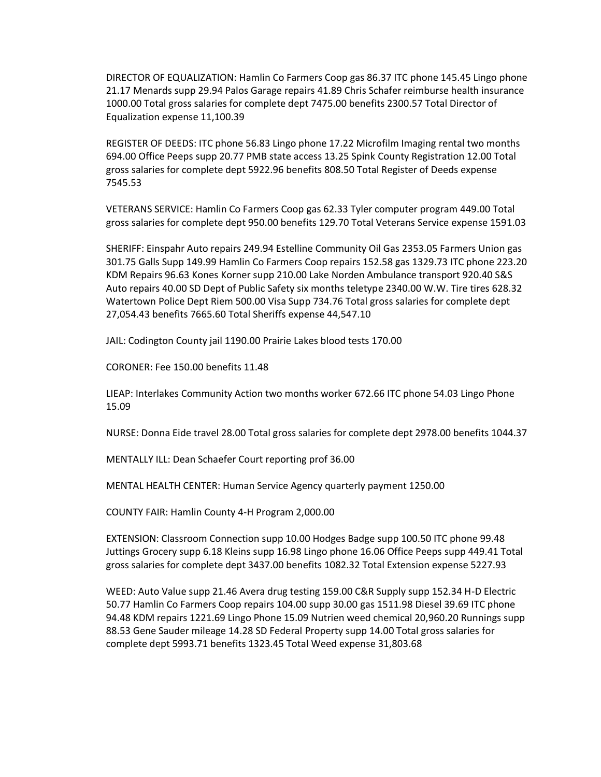DIRECTOR OF EQUALIZATION: Hamlin Co Farmers Coop gas 86.37 ITC phone 145.45 Lingo phone 21.17 Menards supp 29.94 Palos Garage repairs 41.89 Chris Schafer reimburse health insurance 1000.00 Total gross salaries for complete dept 7475.00 benefits 2300.57 Total Director of Equalization expense 11,100.39

REGISTER OF DEEDS: ITC phone 56.83 Lingo phone 17.22 Microfilm Imaging rental two months 694.00 Office Peeps supp 20.77 PMB state access 13.25 Spink County Registration 12.00 Total gross salaries for complete dept 5922.96 benefits 808.50 Total Register of Deeds expense 7545.53

VETERANS SERVICE: Hamlin Co Farmers Coop gas 62.33 Tyler computer program 449.00 Total gross salaries for complete dept 950.00 benefits 129.70 Total Veterans Service expense 1591.03

SHERIFF: Einspahr Auto repairs 249.94 Estelline Community Oil Gas 2353.05 Farmers Union gas 301.75 Galls Supp 149.99 Hamlin Co Farmers Coop repairs 152.58 gas 1329.73 ITC phone 223.20 KDM Repairs 96.63 Kones Korner supp 210.00 Lake Norden Ambulance transport 920.40 S&S Auto repairs 40.00 SD Dept of Public Safety six months teletype 2340.00 W.W. Tire tires 628.32 Watertown Police Dept Riem 500.00 Visa Supp 734.76 Total gross salaries for complete dept 27,054.43 benefits 7665.60 Total Sheriffs expense 44,547.10

JAIL: Codington County jail 1190.00 Prairie Lakes blood tests 170.00

CORONER: Fee 150.00 benefits 11.48

LIEAP: Interlakes Community Action two months worker 672.66 ITC phone 54.03 Lingo Phone 15.09

NURSE: Donna Eide travel 28.00 Total gross salaries for complete dept 2978.00 benefits 1044.37

MENTALLY ILL: Dean Schaefer Court reporting prof 36.00

MENTAL HEALTH CENTER: Human Service Agency quarterly payment 1250.00

COUNTY FAIR: Hamlin County 4-H Program 2,000.00

EXTENSION: Classroom Connection supp 10.00 Hodges Badge supp 100.50 ITC phone 99.48 Juttings Grocery supp 6.18 Kleins supp 16.98 Lingo phone 16.06 Office Peeps supp 449.41 Total gross salaries for complete dept 3437.00 benefits 1082.32 Total Extension expense 5227.93

WEED: Auto Value supp 21.46 Avera drug testing 159.00 C&R Supply supp 152.34 H-D Electric 50.77 Hamlin Co Farmers Coop repairs 104.00 supp 30.00 gas 1511.98 Diesel 39.69 ITC phone 94.48 KDM repairs 1221.69 Lingo Phone 15.09 Nutrien weed chemical 20,960.20 Runnings supp 88.53 Gene Sauder mileage 14.28 SD Federal Property supp 14.00 Total gross salaries for complete dept 5993.71 benefits 1323.45 Total Weed expense 31,803.68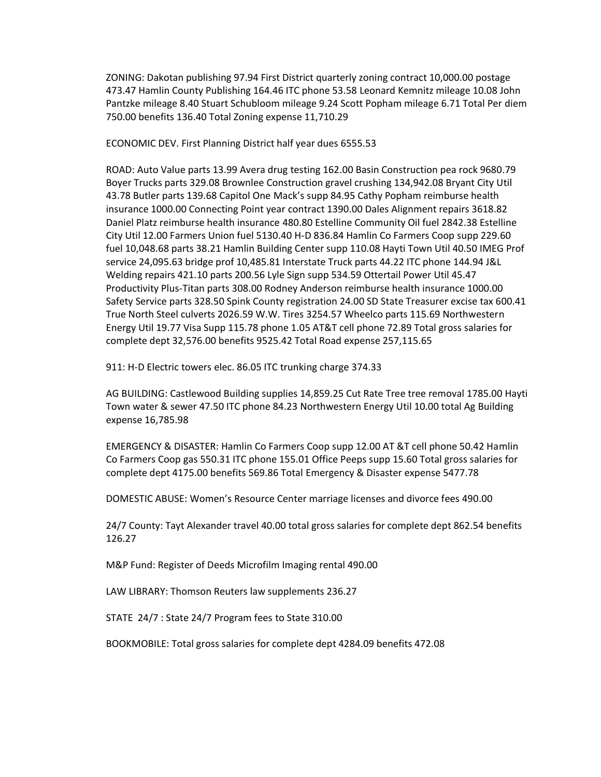ZONING: Dakotan publishing 97.94 First District quarterly zoning contract 10,000.00 postage 473.47 Hamlin County Publishing 164.46 ITC phone 53.58 Leonard Kemnitz mileage 10.08 John Pantzke mileage 8.40 Stuart Schubloom mileage 9.24 Scott Popham mileage 6.71 Total Per diem 750.00 benefits 136.40 Total Zoning expense 11,710.29

ECONOMIC DEV. First Planning District half year dues 6555.53

ROAD: Auto Value parts 13.99 Avera drug testing 162.00 Basin Construction pea rock 9680.79 Boyer Trucks parts 329.08 Brownlee Construction gravel crushing 134,942.08 Bryant City Util 43.78 Butler parts 139.68 Capitol One Mack's supp 84.95 Cathy Popham reimburse health insurance 1000.00 Connecting Point year contract 1390.00 Dales Alignment repairs 3618.82 Daniel Platz reimburse health insurance 480.80 Estelline Community Oil fuel 2842.38 Estelline City Util 12.00 Farmers Union fuel 5130.40 H-D 836.84 Hamlin Co Farmers Coop supp 229.60 fuel 10,048.68 parts 38.21 Hamlin Building Center supp 110.08 Hayti Town Util 40.50 IMEG Prof service 24,095.63 bridge prof 10,485.81 Interstate Truck parts 44.22 ITC phone 144.94 J&L Welding repairs 421.10 parts 200.56 Lyle Sign supp 534.59 Ottertail Power Util 45.47 Productivity Plus-Titan parts 308.00 Rodney Anderson reimburse health insurance 1000.00 Safety Service parts 328.50 Spink County registration 24.00 SD State Treasurer excise tax 600.41 True North Steel culverts 2026.59 W.W. Tires 3254.57 Wheelco parts 115.69 Northwestern Energy Util 19.77 Visa Supp 115.78 phone 1.05 AT&T cell phone 72.89 Total gross salaries for complete dept 32,576.00 benefits 9525.42 Total Road expense 257,115.65

911: H-D Electric towers elec. 86.05 ITC trunking charge 374.33

AG BUILDING: Castlewood Building supplies 14,859.25 Cut Rate Tree tree removal 1785.00 Hayti Town water & sewer 47.50 ITC phone 84.23 Northwestern Energy Util 10.00 total Ag Building expense 16,785.98

EMERGENCY & DISASTER: Hamlin Co Farmers Coop supp 12.00 AT &T cell phone 50.42 Hamlin Co Farmers Coop gas 550.31 ITC phone 155.01 Office Peeps supp 15.60 Total gross salaries for complete dept 4175.00 benefits 569.86 Total Emergency & Disaster expense 5477.78

DOMESTIC ABUSE: Women's Resource Center marriage licenses and divorce fees 490.00

24/7 County: Tayt Alexander travel 40.00 total gross salaries for complete dept 862.54 benefits 126.27

M&P Fund: Register of Deeds Microfilm Imaging rental 490.00

LAW LIBRARY: Thomson Reuters law supplements 236.27

STATE 24/7 : State 24/7 Program fees to State 310.00

BOOKMOBILE: Total gross salaries for complete dept 4284.09 benefits 472.08